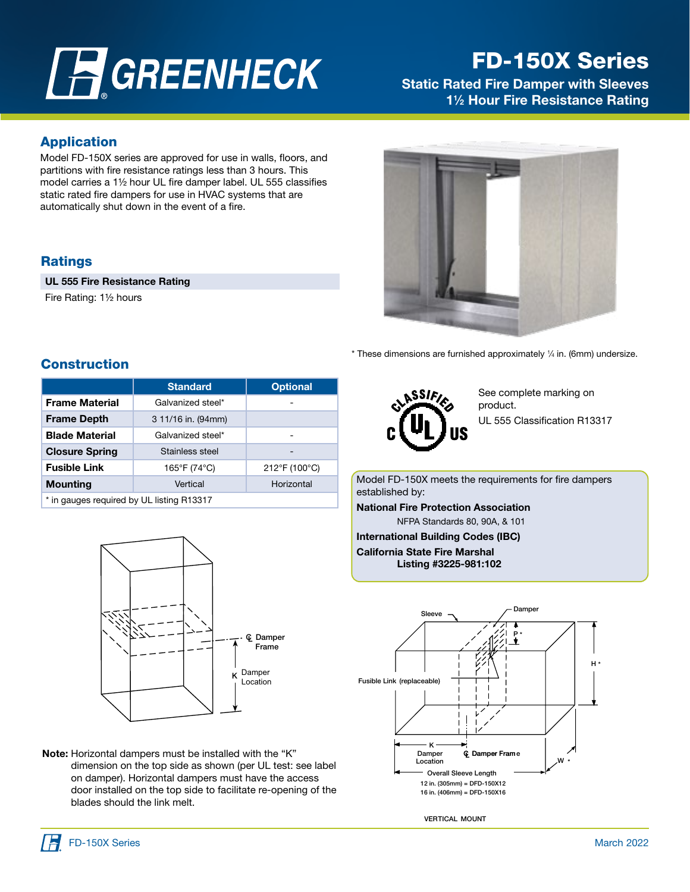# **A**GREENHECK

# FD-150X Series

**Static Rated Fire Damper with Sleeves** 1<sup>1</sup>/<sub>2</sub> Hour Fire Resistance Rating

## Application

Model FD-150X series are approved for use in walls, floors, and partitions with fire resistance ratings less than 3 hours. This model carries a 1<sup>1/2</sup> hour UL fire damper label. UL 555 classifies static rated fire dampers for use in HVAC systems that are automatically shut down in the event of a fire.

# **Ratings**

UL 555 Fire Resistance Rating

Fire Rating: 11/2 hours



 $*$  These dimensions are furnished approximately  $\frac{1}{4}$  in. (6mm) undersize.

# **Construction**

|                                           | <b>Standard</b>    | <b>Optional</b> |
|-------------------------------------------|--------------------|-----------------|
| <b>Frame Material</b>                     | Galvanized steel*  |                 |
| <b>Frame Depth</b>                        | 3 11/16 in. (94mm) |                 |
| <b>Blade Material</b>                     | Galvanized steel*  |                 |
| <b>Closure Spring</b>                     | Stainless steel    | -               |
| <b>Fusible Link</b>                       | 165°F (74°C)       | 212°F (100°C)   |
| <b>Mounting</b>                           | Vertical           | Horizontal      |
| * in gauges required by UL listing R13317 |                    |                 |

 $\overline{m}$  gauges required by UL listing R13317



Note: Horizontal dampers must be installed with the "K" dimension on the top side as shown (per UL test: see label on damper). Horizontal dampers must have the access door installed on the top side to facilitate re-opening of the blades should the link melt.



See complete marking on product. UL 555 Classification R13317

Model FD-150X meets the requirements for fire dampers established by:

National Fire Protection Association NFPA Standards 80, 90A, & 101

International Building Codes (IBC) California State Fire Marshal Listing #3225-981:102



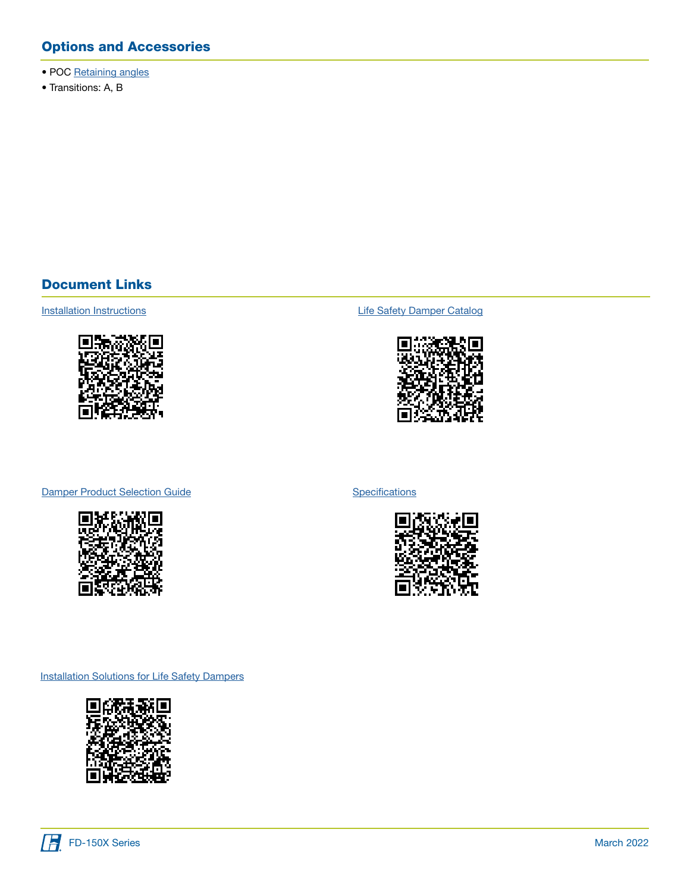# Options and Accessories

- POC [Retaining angles](https://content.greenheck.com/public/DAMProd/Original/10002/POC_submittal.pdf)
- Transitions: A, B

### Document Links



[Installation Instructions](https://content.greenheck.com/public/DAMProd/Original/10001/481324CurtainFireDampers_iom.pdf) **Installation Instructions [Life Safety Damper Catalog](https://content.greenheck.com/public/DAMProd/Original/10015/LifeSafetyDampers_catalog.pdf)** 



#### [Damper Product Selection Guide](https://content.greenheck.com/public/DAMProd/Original/10002/InteractiveDamperSelectionGuide.pdf)



**[Specifications](https://content.greenheck.com/public/DAMProd/Original/10002/FDXSeries_spec.rtf)** 



**[Installation Solutions for Life Safety Dampers](https://content.greenheck.com/public/DAMProd/Original/10011/Install_LifeSafetyDampers_trifold.pdf)** 

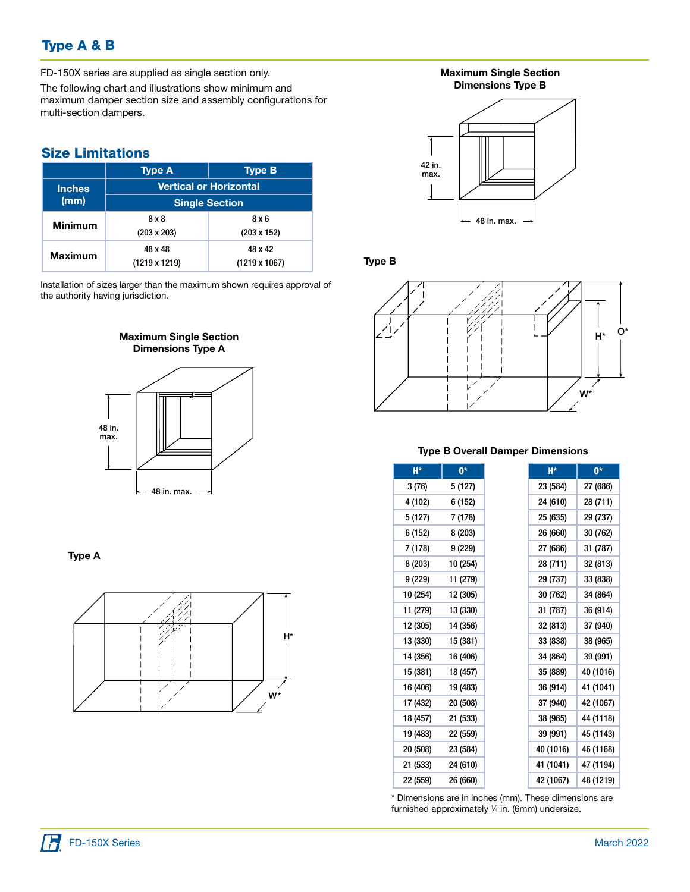# Type A & B

FD-150X series are supplied as single section only.

The following chart and illustrations show minimum and maximum damper section size and assembly configurations for multi-section dampers.

## Size Limitations

|                | <b>Type A</b>                 | <b>Type B</b>        |  |
|----------------|-------------------------------|----------------------|--|
| <b>Inches</b>  | <b>Vertical or Horizontal</b> |                      |  |
| (mm)           | <b>Single Section</b>         |                      |  |
| <b>Minimum</b> | 8 x 8                         | 8 x 6                |  |
|                | $(203 \times 203)$            | $(203 \times 152)$   |  |
| <b>Maximum</b> | 48 x 48                       | 48 x 42              |  |
|                | $(1219 \times 1219)$          | $(1219 \times 1067)$ |  |

Installation of sizes larger than the maximum shown requires approval of the authority having jurisdiction.



#### Type A



#### Maximum Single Section Dimensions Type B



#### Type B



#### Type B Overall Damper Dimensions

| H*       | $0*$     |
|----------|----------|
| 3(76)    | 5 (127)  |
| 4 (102)  | 6 (152)  |
| 5 (127)  | 7 (178)  |
| 6 (152)  | 8 (203)  |
| 7 (178)  | 9 (229)  |
| 8 (203)  | 10 (254) |
| 9 (229)  | 11 (279) |
| 10 (254) | 12 (305) |
| 11 (279) | 13 (330) |
| 12 (305) | 14 (356) |
| 13 (330) | 15 (381) |
| 14 (356) | 16 (406) |
| 15 (381) | 18 (457) |
| 16 (406) | 19 (483) |
| 17 (432) | 20 (508) |
| 18 (457) | 21 (533) |
| 19 (483) | 22 (559) |
| 20 (508) | 23 (584) |
| 21 (533) | 24 (610) |
| 22 (559) | 26 (660) |

\* Dimensions are in inches (mm). These dimensions are furnished approximately 1 ⁄4 in. (6mm) undersize.